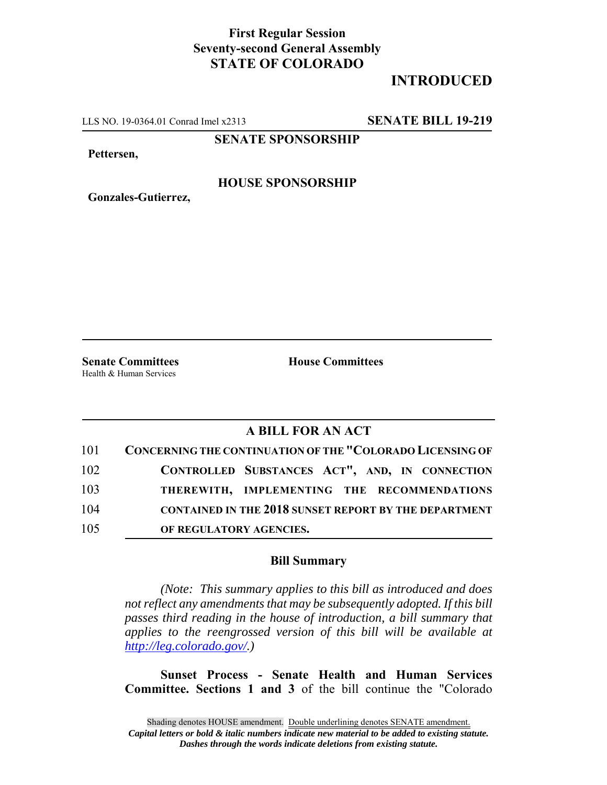## **First Regular Session Seventy-second General Assembly STATE OF COLORADO**

# **INTRODUCED**

LLS NO. 19-0364.01 Conrad Imel x2313 **SENATE BILL 19-219**

**SENATE SPONSORSHIP**

**Pettersen,**

#### **HOUSE SPONSORSHIP**

**Gonzales-Gutierrez,**

Health & Human Services

**Senate Committees House Committees** 

### **A BILL FOR AN ACT**

| 101 | CONCERNING THE CONTINUATION OF THE "COLORADO LICENSING OF    |
|-----|--------------------------------------------------------------|
| 102 | CONTROLLED SUBSTANCES ACT", AND, IN CONNECTION               |
| 103 | THEREWITH, IMPLEMENTING THE RECOMMENDATIONS                  |
| 104 | <b>CONTAINED IN THE 2018 SUNSET REPORT BY THE DEPARTMENT</b> |
| 105 | OF REGULATORY AGENCIES.                                      |

#### **Bill Summary**

*(Note: This summary applies to this bill as introduced and does not reflect any amendments that may be subsequently adopted. If this bill passes third reading in the house of introduction, a bill summary that applies to the reengrossed version of this bill will be available at http://leg.colorado.gov/.)*

**Sunset Process - Senate Health and Human Services Committee. Sections 1 and 3** of the bill continue the "Colorado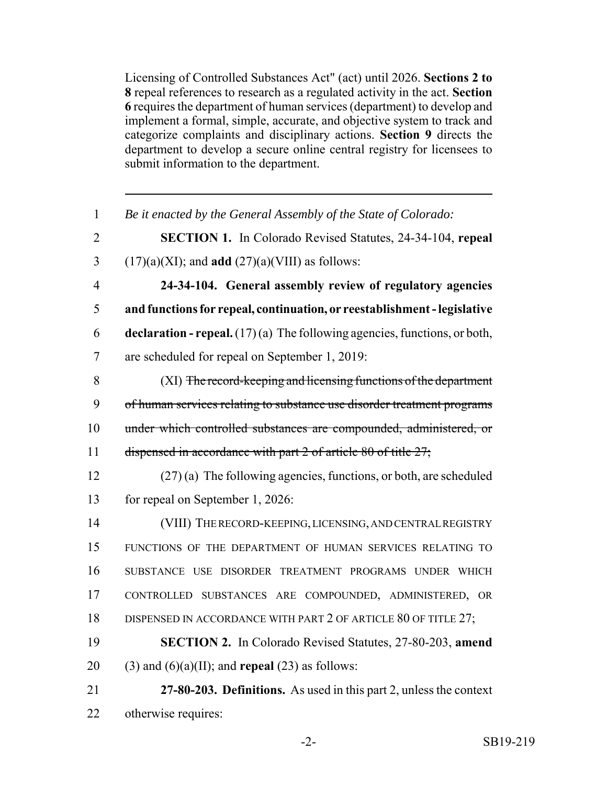Licensing of Controlled Substances Act" (act) until 2026. **Sections 2 to 8** repeal references to research as a regulated activity in the act. **Section 6** requires the department of human services (department) to develop and implement a formal, simple, accurate, and objective system to track and categorize complaints and disciplinary actions. **Section 9** directs the department to develop a secure online central registry for licensees to submit information to the department.

| $\mathbf{1}$   | Be it enacted by the General Assembly of the State of Colorado:                    |
|----------------|------------------------------------------------------------------------------------|
| $\overline{2}$ | SECTION 1. In Colorado Revised Statutes, 24-34-104, repeal                         |
| 3              | $(17)(a)(XI)$ ; and <b>add</b> $(27)(a)(VIII)$ as follows:                         |
| $\overline{4}$ | 24-34-104. General assembly review of regulatory agencies                          |
| 5              | and functions for repeal, continuation, or reestablishment - legislative           |
| 6              | <b>declaration - repeal.</b> $(17)(a)$ The following agencies, functions, or both, |
| $\overline{7}$ | are scheduled for repeal on September 1, 2019:                                     |
| 8              | (XI) The record-keeping and licensing functions of the department                  |
| 9              | of human services relating to substance use disorder treatment programs            |
| 10             | under which controlled substances are compounded, administered, or                 |
| 11             | dispensed in accordance with part 2 of article 80 of title 27;                     |
| 12             | $(27)$ (a) The following agencies, functions, or both, are scheduled               |
| 13             | for repeal on September 1, 2026:                                                   |
| 14             | (VIII) THE RECORD-KEEPING, LICENSING, AND CENTRAL REGISTRY                         |
| 15             | FUNCTIONS OF THE DEPARTMENT OF HUMAN SERVICES RELATING TO                          |
| 16             | SUBSTANCE USE DISORDER TREATMENT PROGRAMS UNDER WHICH                              |
| 17             | CONTROLLED SUBSTANCES ARE COMPOUNDED, ADMINISTERED, OR                             |
| 18             | DISPENSED IN ACCORDANCE WITH PART 2 OF ARTICLE 80 OF TITLE 27;                     |
| 19             | <b>SECTION 2.</b> In Colorado Revised Statutes, 27-80-203, amend                   |
| 20             | $(3)$ and $(6)(a)(II)$ ; and <b>repeal</b> $(23)$ as follows:                      |
| 21             | 27-80-203. Definitions. As used in this part 2, unless the context                 |
| 22             | otherwise requires:                                                                |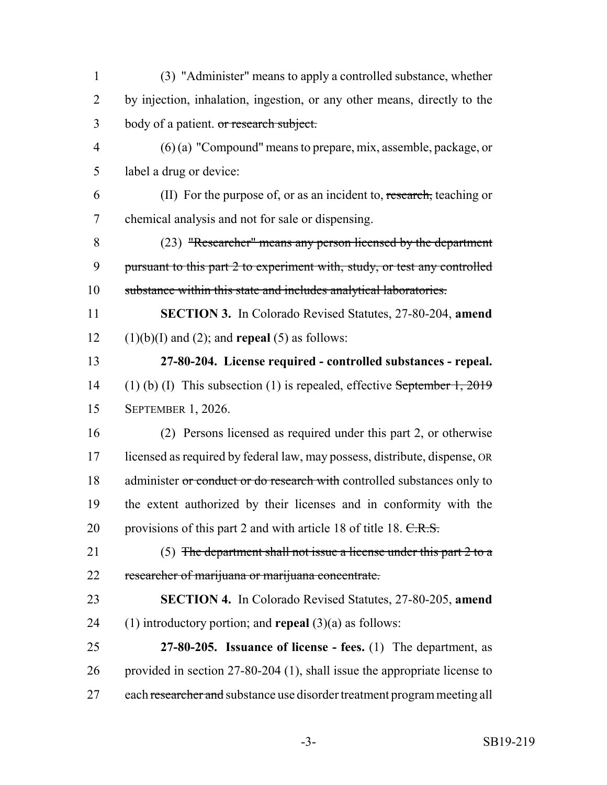(3) "Administer" means to apply a controlled substance, whether 2 by injection, inhalation, ingestion, or any other means, directly to the 3 body of a patient. or research subject. (6) (a) "Compound" means to prepare, mix, assemble, package, or label a drug or device: (II) For the purpose of, or as an incident to, research, teaching or chemical analysis and not for sale or dispensing. (23) "Researcher" means any person licensed by the department 9 pursuant to this part 2 to experiment with, study, or test any controlled substance within this state and includes analytical laboratories. **SECTION 3.** In Colorado Revised Statutes, 27-80-204, **amend**  $(1)(b)(I)$  and  $(2)$ ; and **repeal** (5) as follows: **27-80-204. License required - controlled substances - repeal.** 14 (1) (b) (I) This subsection (1) is repealed, effective September 1, 2019 SEPTEMBER 1, 2026. (2) Persons licensed as required under this part 2, or otherwise licensed as required by federal law, may possess, distribute, dispense, OR 18 administer or conduct or do research with controlled substances only to the extent authorized by their licenses and in conformity with the 20 provisions of this part 2 and with article 18 of title 18. C.R.S. (5) The department shall not issue a license under this part 2 to a researcher of marijuana or marijuana concentrate. **SECTION 4.** In Colorado Revised Statutes, 27-80-205, **amend** (1) introductory portion; and **repeal** (3)(a) as follows: **27-80-205. Issuance of license - fees.** (1) The department, as provided in section 27-80-204 (1), shall issue the appropriate license to 27 each researcher and substance use disorder treatment program meeting all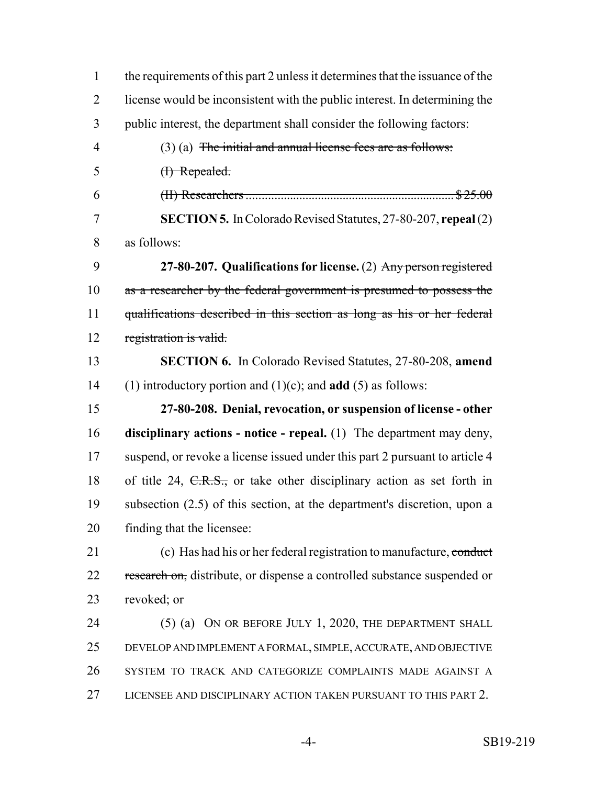| $\mathbf{1}$   | the requirements of this part 2 unless it determines that the issuance of the |
|----------------|-------------------------------------------------------------------------------|
| $\overline{2}$ | license would be inconsistent with the public interest. In determining the    |
| 3              | public interest, the department shall consider the following factors:         |
| $\overline{4}$ | $(3)$ (a) The initial and annual license fees are as follows:                 |
| 5              | (I) Repealed.                                                                 |
| 6              |                                                                               |
| $\overline{7}$ | <b>SECTION 5.</b> In Colorado Revised Statutes, 27-80-207, repeal (2)         |
| 8              | as follows:                                                                   |
| 9              | 27-80-207. Qualifications for license. (2) Any person registered              |
| 10             | as a researcher by the federal government is presumed to possess the          |
| 11             | qualifications described in this section as long as his or her federal        |
| 12             | registration is valid.                                                        |
| 13             | <b>SECTION 6.</b> In Colorado Revised Statutes, 27-80-208, amend              |
| 14             | (1) introductory portion and $(1)(c)$ ; and <b>add</b> $(5)$ as follows:      |
| 15             | 27-80-208. Denial, revocation, or suspension of license - other               |
|                |                                                                               |
| 16             | disciplinary actions - notice - repeal. (1) The department may deny,          |
| 17             | suspend, or revoke a license issued under this part 2 pursuant to article 4   |
| 18             | of title 24, $C.R.S.,$ or take other disciplinary action as set forth in      |
| 19             | subsection (2.5) of this section, at the department's discretion, upon a      |
| 20             | finding that the licensee:                                                    |
| 21             | (c) Has had his or her federal registration to manufacture, conduct           |
| 22             | research on, distribute, or dispense a controlled substance suspended or      |
| 23             | revoked; or                                                                   |
| 24             | (5) (a) ON OR BEFORE JULY 1, 2020, THE DEPARTMENT SHALL                       |
| 25             | DEVELOP AND IMPLEMENT A FORMAL, SIMPLE, ACCURATE, AND OBJECTIVE               |
| 26             | SYSTEM TO TRACK AND CATEGORIZE COMPLAINTS MADE AGAINST A                      |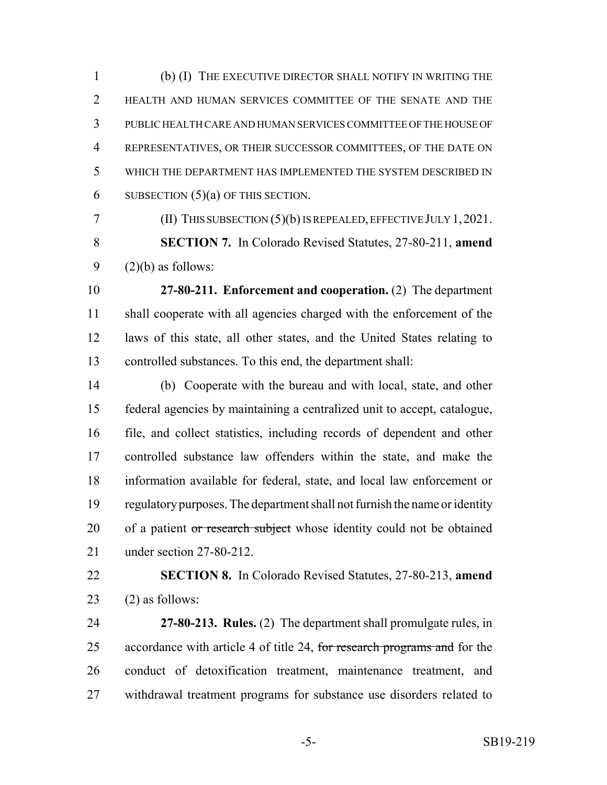(b) (I) THE EXECUTIVE DIRECTOR SHALL NOTIFY IN WRITING THE HEALTH AND HUMAN SERVICES COMMITTEE OF THE SENATE AND THE PUBLIC HEALTH CARE AND HUMAN SERVICES COMMITTEE OF THE HOUSE OF REPRESENTATIVES, OR THEIR SUCCESSOR COMMITTEES, OF THE DATE ON WHICH THE DEPARTMENT HAS IMPLEMENTED THE SYSTEM DESCRIBED IN 6 SUBSECTION  $(5)(a)$  OF THIS SECTION.

(II) THIS SUBSECTION (5)(b) IS REPEALED, EFFECTIVE JULY 1,2021.

 **SECTION 7.** In Colorado Revised Statutes, 27-80-211, **amend** 9  $(2)(b)$  as follows:

 **27-80-211. Enforcement and cooperation.** (2) The department shall cooperate with all agencies charged with the enforcement of the laws of this state, all other states, and the United States relating to controlled substances. To this end, the department shall:

 (b) Cooperate with the bureau and with local, state, and other federal agencies by maintaining a centralized unit to accept, catalogue, file, and collect statistics, including records of dependent and other controlled substance law offenders within the state, and make the information available for federal, state, and local law enforcement or regulatory purposes. The department shall not furnish the name or identity 20 of a patient or research subject whose identity could not be obtained under section 27-80-212.

 **SECTION 8.** In Colorado Revised Statutes, 27-80-213, **amend** 23  $(2)$  as follows:

 **27-80-213. Rules.** (2) The department shall promulgate rules, in 25 accordance with article 4 of title 24, for research programs and for the conduct of detoxification treatment, maintenance treatment, and withdrawal treatment programs for substance use disorders related to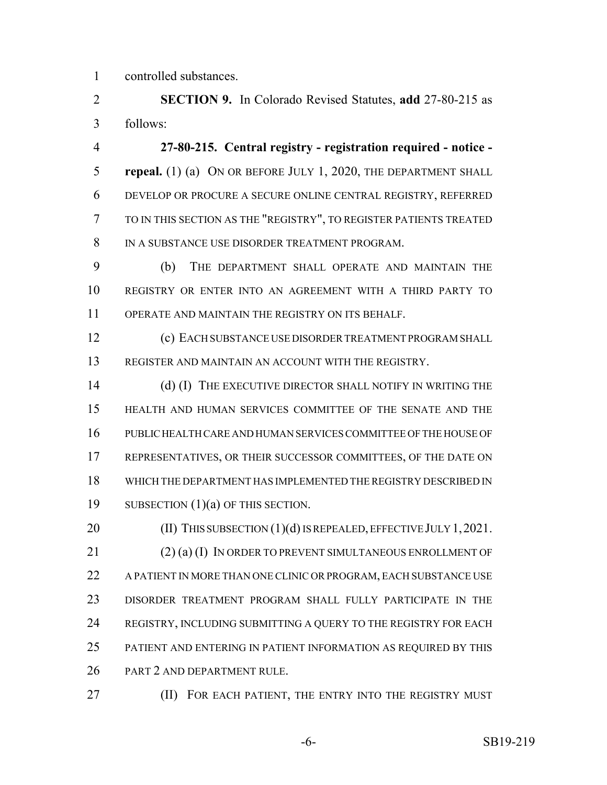controlled substances.

 **SECTION 9.** In Colorado Revised Statutes, **add** 27-80-215 as follows:

 **27-80-215. Central registry - registration required - notice - repeal.** (1) (a) ON OR BEFORE JULY 1, 2020, THE DEPARTMENT SHALL DEVELOP OR PROCURE A SECURE ONLINE CENTRAL REGISTRY, REFERRED TO IN THIS SECTION AS THE "REGISTRY", TO REGISTER PATIENTS TREATED IN A SUBSTANCE USE DISORDER TREATMENT PROGRAM.

 (b) THE DEPARTMENT SHALL OPERATE AND MAINTAIN THE REGISTRY OR ENTER INTO AN AGREEMENT WITH A THIRD PARTY TO OPERATE AND MAINTAIN THE REGISTRY ON ITS BEHALF.

 (c) EACH SUBSTANCE USE DISORDER TREATMENT PROGRAM SHALL REGISTER AND MAINTAIN AN ACCOUNT WITH THE REGISTRY.

14 (d) (I) THE EXECUTIVE DIRECTOR SHALL NOTIFY IN WRITING THE HEALTH AND HUMAN SERVICES COMMITTEE OF THE SENATE AND THE PUBLIC HEALTH CARE AND HUMAN SERVICES COMMITTEE OF THE HOUSE OF REPRESENTATIVES, OR THEIR SUCCESSOR COMMITTEES, OF THE DATE ON WHICH THE DEPARTMENT HAS IMPLEMENTED THE REGISTRY DESCRIBED IN SUBSECTION (1)(a) OF THIS SECTION.

20 (II) THIS SUBSECTION (1)(d) IS REPEALED, EFFECTIVE JULY 1, 2021. 21 (2) (a) (I) IN ORDER TO PREVENT SIMULTANEOUS ENROLLMENT OF A PATIENT IN MORE THAN ONE CLINIC OR PROGRAM, EACH SUBSTANCE USE DISORDER TREATMENT PROGRAM SHALL FULLY PARTICIPATE IN THE REGISTRY, INCLUDING SUBMITTING A QUERY TO THE REGISTRY FOR EACH PATIENT AND ENTERING IN PATIENT INFORMATION AS REQUIRED BY THIS PART 2 AND DEPARTMENT RULE.

**(II) FOR EACH PATIENT, THE ENTRY INTO THE REGISTRY MUST**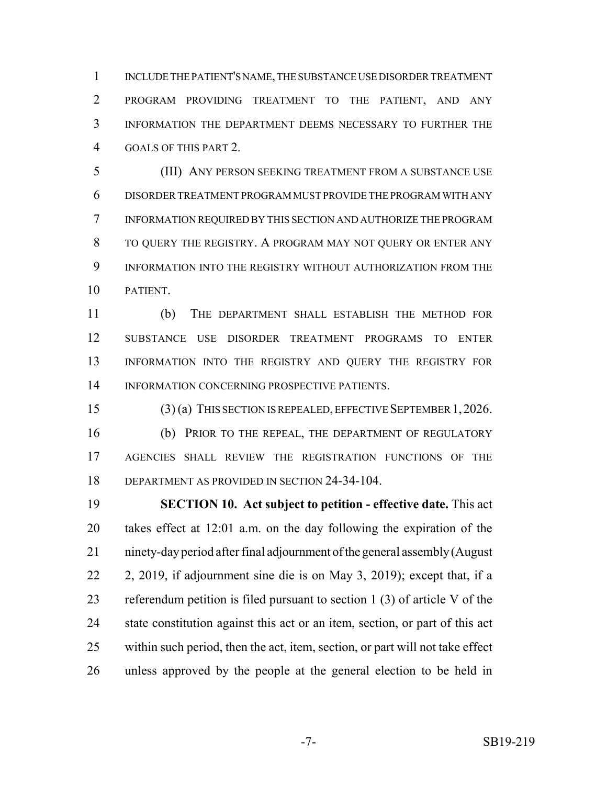INCLUDE THE PATIENT'S NAME, THE SUBSTANCE USE DISORDER TREATMENT PROGRAM PROVIDING TREATMENT TO THE PATIENT, AND ANY INFORMATION THE DEPARTMENT DEEMS NECESSARY TO FURTHER THE GOALS OF THIS PART 2.

 (III) ANY PERSON SEEKING TREATMENT FROM A SUBSTANCE USE DISORDER TREATMENT PROGRAM MUST PROVIDE THE PROGRAM WITH ANY INFORMATION REQUIRED BY THIS SECTION AND AUTHORIZE THE PROGRAM TO QUERY THE REGISTRY. A PROGRAM MAY NOT QUERY OR ENTER ANY INFORMATION INTO THE REGISTRY WITHOUT AUTHORIZATION FROM THE PATIENT.

 (b) THE DEPARTMENT SHALL ESTABLISH THE METHOD FOR SUBSTANCE USE DISORDER TREATMENT PROGRAMS TO ENTER INFORMATION INTO THE REGISTRY AND QUERY THE REGISTRY FOR INFORMATION CONCERNING PROSPECTIVE PATIENTS.

 (3) (a) THIS SECTION IS REPEALED, EFFECTIVE SEPTEMBER 1,2026. (b) PRIOR TO THE REPEAL, THE DEPARTMENT OF REGULATORY AGENCIES SHALL REVIEW THE REGISTRATION FUNCTIONS OF THE DEPARTMENT AS PROVIDED IN SECTION 24-34-104.

 **SECTION 10. Act subject to petition - effective date.** This act takes effect at 12:01 a.m. on the day following the expiration of the ninety-day period after final adjournment of the general assembly (August 2, 2019, if adjournment sine die is on May 3, 2019); except that, if a referendum petition is filed pursuant to section 1 (3) of article V of the state constitution against this act or an item, section, or part of this act within such period, then the act, item, section, or part will not take effect unless approved by the people at the general election to be held in